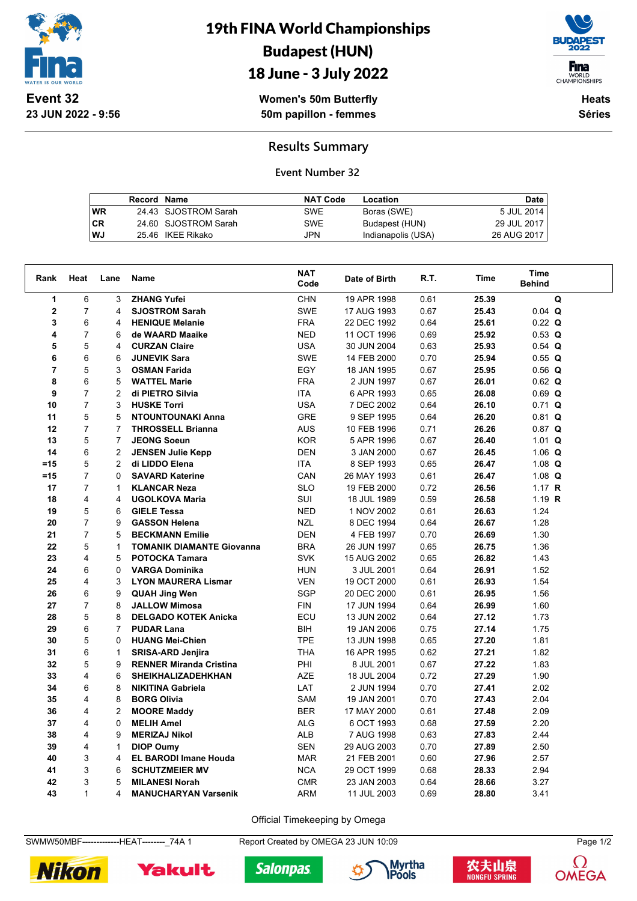

19th FINA World Championships Budapest (HUN)



18 June - 3 July 2022

**Women's 50m Butterfly 50m papillon - femmes**

**Heats Séries**

## **Results Summary**

**Event Number 32**

|           | Record Name |                      | <b>NAT Code</b> | Location           | Date        |
|-----------|-------------|----------------------|-----------------|--------------------|-------------|
| <b>WR</b> |             | 24.43 SJOSTROM Sarah | <b>SWE</b>      | Boras (SWE)        | 5 JUL 2014  |
| <b>CR</b> |             | 24.60 SJOSTROM Sarah | <b>SWE</b>      | Budapest (HUN)     | 29 JUL 2017 |
| WJ        |             | 25.46 IKEE Rikako    | JPN             | Indianapolis (USA) | 26 AUG 2017 |

| Rank           | Heat           | Lane           | Name                             | <b>NAT</b><br>Code | Date of Birth | R.T. | Time  | <b>Time</b><br><b>Behind</b> |  |
|----------------|----------------|----------------|----------------------------------|--------------------|---------------|------|-------|------------------------------|--|
| 1              | 6              | 3              | <b>ZHANG Yufei</b>               | <b>CHN</b>         | 19 APR 1998   | 0.61 | 25.39 | Q                            |  |
| $\mathbf 2$    | $\overline{7}$ | 4              | <b>SJOSTROM Sarah</b>            | <b>SWE</b>         | 17 AUG 1993   | 0.67 | 25.43 | $0.04$ Q                     |  |
| 3              | 6              | 4              | <b>HENIQUE Melanie</b>           | <b>FRA</b>         | 22 DEC 1992   | 0.64 | 25.61 | $0.22$ Q                     |  |
| 4              | $\overline{7}$ | 6              | de WAARD Maaike                  | <b>NED</b>         | 11 OCT 1996   | 0.69 | 25.92 | $0.53$ Q                     |  |
| 5              | 5              | 4              | <b>CURZAN Claire</b>             | <b>USA</b>         | 30 JUN 2004   | 0.63 | 25.93 | $0.54$ Q                     |  |
| 6              | 6              | 6              | <b>JUNEVIK Sara</b>              | <b>SWE</b>         | 14 FEB 2000   | 0.70 | 25.94 | 0.55Q                        |  |
| $\overline{7}$ | 5              | 3              | <b>OSMAN Farida</b>              | EGY                | 18 JAN 1995   | 0.67 | 25.95 | $0.56$ Q                     |  |
| 8              | 6              | 5              | <b>WATTEL Marie</b>              | <b>FRA</b>         | 2 JUN 1997    | 0.67 | 26.01 | $0.62$ Q                     |  |
| 9              | $\overline{7}$ | $\overline{2}$ | di PIETRO Silvia                 | <b>ITA</b>         | 6 APR 1993    | 0.65 | 26.08 | $0.69$ Q                     |  |
| 10             | $\overline{7}$ | 3              | <b>HUSKE Torri</b>               | <b>USA</b>         | 7 DEC 2002    | 0.64 | 26.10 | $0.71$ Q                     |  |
| 11             | 5              | 5              | <b>NTOUNTOUNAKI Anna</b>         | <b>GRE</b>         | 9 SEP 1995    | 0.64 | 26.20 | $0.81$ Q                     |  |
| 12             | $\overline{7}$ | $\overline{7}$ | <b>THROSSELL Brianna</b>         | <b>AUS</b>         | 10 FEB 1996   | 0.71 | 26.26 | $0.87$ Q                     |  |
| 13             | 5              | $\overline{7}$ | <b>JEONG Soeun</b>               | <b>KOR</b>         | 5 APR 1996    | 0.67 | 26.40 | $1.01$ Q                     |  |
| 14             | 6              | $\overline{2}$ | <b>JENSEN Julie Kepp</b>         | <b>DEN</b>         | 3 JAN 2000    | 0.67 | 26.45 | 1.06 $Q$                     |  |
| =15            | 5              | 2              | di LIDDO Elena                   | <b>ITA</b>         | 8 SEP 1993    | 0.65 | 26.47 | 1.08 $Q$                     |  |
| =15            | $\overline{7}$ | 0              | <b>SAVARD Katerine</b>           | CAN                | 26 MAY 1993   | 0.61 | 26.47 | 1.08 $Q$                     |  |
| 17             | 7              | $\mathbf{1}$   | <b>KLANCAR Neza</b>              | <b>SLO</b>         | 19 FEB 2000   | 0.72 | 26.56 | 1.17 $R$                     |  |
| 18             | 4              | 4              | <b>UGOLKOVA Maria</b>            | SUI                | 18 JUL 1989   | 0.59 | 26.58 | 1.19 $R$                     |  |
| 19             | 5              | 6              | <b>GIELE Tessa</b>               | <b>NED</b>         | 1 NOV 2002    | 0.61 | 26.63 | 1.24                         |  |
| 20             | $\overline{7}$ | 9              | <b>GASSON Helena</b>             | NZL                | 8 DEC 1994    | 0.64 | 26.67 | 1.28                         |  |
| 21             | $\overline{7}$ | 5              | <b>BECKMANN Emilie</b>           | <b>DEN</b>         | 4 FEB 1997    | 0.70 | 26.69 | 1.30                         |  |
| 22             | 5              | $\mathbf{1}$   | <b>TOMANIK DIAMANTE Giovanna</b> | <b>BRA</b>         | 26 JUN 1997   | 0.65 | 26.75 | 1.36                         |  |
| 23             | 4              | 5              | <b>POTOCKA Tamara</b>            | <b>SVK</b>         | 15 AUG 2002   | 0.65 | 26.82 | 1.43                         |  |
| 24             | 6              | $\Omega$       | <b>VARGA Dominika</b>            | <b>HUN</b>         | 3 JUL 2001    | 0.64 | 26.91 | 1.52                         |  |
| 25             | 4              | 3              | <b>LYON MAURERA Lismar</b>       | <b>VEN</b>         | 19 OCT 2000   | 0.61 | 26.93 | 1.54                         |  |
| 26             | 6              | 9              | <b>QUAH Jing Wen</b>             | SGP                | 20 DEC 2000   | 0.61 | 26.95 | 1.56                         |  |
| 27             | $\overline{7}$ | 8              | <b>JALLOW Mimosa</b>             | <b>FIN</b>         | 17 JUN 1994   | 0.64 | 26.99 | 1.60                         |  |
| 28             | 5              | 8              | <b>DELGADO KOTEK Anicka</b>      | ECU                | 13 JUN 2002   | 0.64 | 27.12 | 1.73                         |  |
| 29             | 6              | $\overline{7}$ | <b>PUDAR Lana</b>                | BIH                | 19 JAN 2006   | 0.75 | 27.14 | 1.75                         |  |
| 30             | 5              | 0              | <b>HUANG Mei-Chien</b>           | <b>TPE</b>         | 13 JUN 1998   | 0.65 | 27.20 | 1.81                         |  |
| 31             | 6              | $\mathbf{1}$   | <b>SRISA-ARD Jenjira</b>         | <b>THA</b>         | 16 APR 1995   | 0.62 | 27.21 | 1.82                         |  |
| 32             | 5              | 9              | <b>RENNER Miranda Cristina</b>   | PHI                | 8 JUL 2001    | 0.67 | 27.22 | 1.83                         |  |
| 33             | 4              | 6              | <b>SHEIKHALIZADEHKHAN</b>        | <b>AZE</b>         | 18 JUL 2004   | 0.72 | 27.29 | 1.90                         |  |
| 34             | 6              | 8              | <b>NIKITINA Gabriela</b>         | LAT                | 2 JUN 1994    | 0.70 | 27.41 | 2.02                         |  |
| 35             | 4              | 8              | <b>BORG Olivia</b>               | <b>SAM</b>         | 19 JAN 2001   | 0.70 | 27.43 | 2.04                         |  |
| 36             | 4              | $\overline{2}$ | <b>MOORE Maddy</b>               | <b>BER</b>         | 17 MAY 2000   | 0.61 | 27.48 | 2.09                         |  |
| 37             | 4              | 0              | <b>MELIH Amel</b>                | <b>ALG</b>         | 6 OCT 1993    | 0.68 | 27.59 | 2.20                         |  |
| 38             | $\overline{4}$ | 9              | <b>MERIZAJ Nikol</b>             | <b>ALB</b>         | 7 AUG 1998    | 0.63 | 27.83 | 2.44                         |  |
| 39             | 4              | $\mathbf{1}$   | <b>DIOP Oumy</b>                 | <b>SEN</b>         | 29 AUG 2003   | 0.70 | 27.89 | 2.50                         |  |
| 40             | $\mathsf 3$    | 4              | <b>EL BARODI Imane Houda</b>     | <b>MAR</b>         | 21 FEB 2001   | 0.60 | 27.96 | 2.57                         |  |
| 41             | 3              | 6              | <b>SCHUTZMEIER MV</b>            | <b>NCA</b>         | 29 OCT 1999   | 0.68 | 28.33 | 2.94                         |  |
| 42             | 3              | 5              | <b>MILANESI Norah</b>            | <b>CMR</b>         | 23 JAN 2003   | 0.64 | 28.66 | 3.27                         |  |
| 43             | $\mathbf{1}$   | 4              | <b>MANUCHARYAN Varsenik</b>      | ARM                | 11 JUL 2003   | 0.69 | 28.80 | 3.41                         |  |

Official Timekeeping by Omega

SWMW50MBF--------------HEAT---------\_74A 1 Report Created by OMEGA 23 JUN 10:09 Page 1/2

**Salonpas**